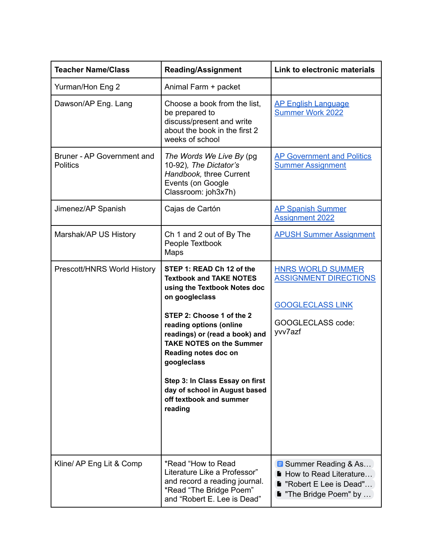| <b>Teacher Name/Class</b>                     | <b>Reading/Assignment</b>                                                                                                                                                                                                                                                                                                                                                                   | Link to electronic materials                                                                                        |
|-----------------------------------------------|---------------------------------------------------------------------------------------------------------------------------------------------------------------------------------------------------------------------------------------------------------------------------------------------------------------------------------------------------------------------------------------------|---------------------------------------------------------------------------------------------------------------------|
| Yurman/Hon Eng 2                              | Animal Farm + packet                                                                                                                                                                                                                                                                                                                                                                        |                                                                                                                     |
| Dawson/AP Eng. Lang                           | Choose a book from the list,<br>be prepared to<br>discuss/present and write<br>about the book in the first 2<br>weeks of school                                                                                                                                                                                                                                                             | <b>AP English Language</b><br><b>Summer Work 2022</b>                                                               |
| Bruner - AP Government and<br><b>Politics</b> | The Words We Live By (pg<br>10-92), The Dictator's<br>Handbook, three Current<br>Events (on Google<br>Classroom: joh3x7h)                                                                                                                                                                                                                                                                   | <b>AP Government and Politics</b><br><b>Summer Assignment</b>                                                       |
| Jimenez/AP Spanish                            | Cajas de Cartón                                                                                                                                                                                                                                                                                                                                                                             | <b>AP Spanish Summer</b><br><b>Assignment 2022</b>                                                                  |
| Marshak/AP US History                         | Ch 1 and 2 out of By The<br>People Textbook<br>Maps                                                                                                                                                                                                                                                                                                                                         | <b>APUSH Summer Assignment</b>                                                                                      |
| Prescott/HNRS World History                   | STEP 1: READ Ch 12 of the<br><b>Textbook and TAKE NOTES</b><br>using the Textbook Notes doc<br>on googleclass<br>STEP 2: Choose 1 of the 2<br>reading options (online<br>readings) or (read a book) and<br><b>TAKE NOTES on the Summer</b><br>Reading notes doc on<br>googleclass<br>Step 3: In Class Essay on first<br>day of school in August based<br>off textbook and summer<br>reading | <b>HNRS WORLD SUMMER</b><br><b>ASSIGNMENT DIRECTIONS</b><br><b>GOOGLECLASS LINK</b><br>GOOGLECLASS code:<br>yvv7azf |
| Kline/ AP Eng Lit & Comp                      | *Read "How to Read<br>Literature Like a Professor"<br>and record a reading journal.<br>*Read "The Bridge Poem"<br>and "Robert E. Lee is Dead"                                                                                                                                                                                                                                               | <b>B</b> Summer Reading & As<br>How to Read Literature<br>"Robert E Lee is Dead"<br>"The Bridge Poem" by            |